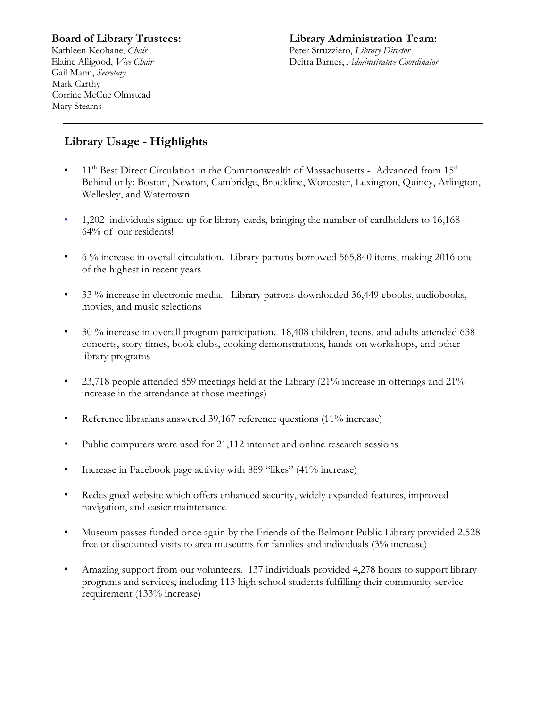# **Board of Library Trustees:**

Kathleen Keohane, *Chair* Elaine Alligood, *Vice Chair* Gail Mann, *Secretary* Mark Carthy Corrine McCue Olmstead Mary Stearns

#### **Library Administration Team:** Peter Struzziero, *Library Director* Deitra Barnes, *Administrative Coordinator*

# **Library Usage - Highlights**

- $11<sup>th</sup>$  Best Direct Circulation in the Commonwealth of Massachusetts Advanced from  $15<sup>th</sup>$ . Behind only: Boston, Newton, Cambridge, Brookline, Worcester, Lexington, Quincy, Arlington, Wellesley, and Watertown
- 1,202 individuals signed up for library cards, bringing the number of cardholders to 16,168 64% of our residents!
- 6 % increase in overall circulation. Library patrons borrowed 565,840 items, making 2016 one of the highest in recent years
- 33 % increase in electronic media. Library patrons downloaded 36,449 ebooks, audiobooks, movies, and music selections
- 30 % increase in overall program participation. 18,408 children, teens, and adults attended 638 concerts, story times, book clubs, cooking demonstrations, hands-on workshops, and other library programs
- 23,718 people attended 859 meetings held at the Library (21% increase in offerings and 21% increase in the attendance at those meetings)
- Reference librarians answered 39,167 reference questions (11% increase)
- Public computers were used for 21,112 internet and online research sessions
- Increase in Facebook page activity with 889 "likes" (41% increase)
- Redesigned website which offers enhanced security, widely expanded features, improved navigation, and easier maintenance
- Museum passes funded once again by the Friends of the Belmont Public Library provided 2,528 free or discounted visits to area museums for families and individuals (3% increase)
- Amazing support from our volunteers. 137 individuals provided 4,278 hours to support library programs and services, including 113 high school students fulfilling their community service requirement (133% increase)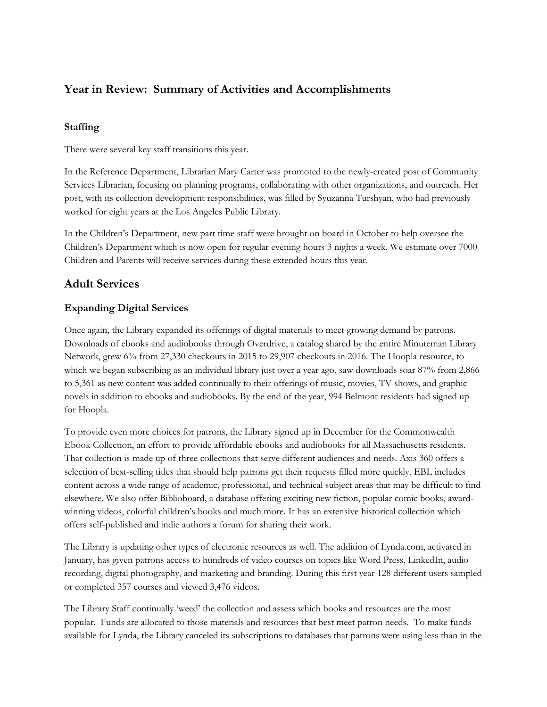# **Year in Review: Summary of Activities and Accomplishments**

#### **Staffing**

There were several key staff transitions this year.

In the Reference Department, Librarian Mary Carter was promoted to the newly-created post of Community Services Librarian, focusing on planning programs, collaborating with other organizations, and outreach. Her post, with its collection development responsibilities, was filled by Syuzanna Turshyan, who had previously worked for eight years at the Los Angeles Public Library.

In the Children's Department, new part time staff were brought on board in October to help oversee the Children's Department which is now open for regular evening hours 3 nights a week. We estimate over 7000 Children and Parents will receive services during these extended hours this year.

# **Adult Services**

#### **Expanding Digital Services**

Once again, the Library expanded its offerings of digital materials to meet growing demand by patrons. Downloads of ebooks and audiobooks through Overdrive, a catalog shared by the entire Minuteman Library Network, grew 6% from 27,330 checkouts in 2015 to 29,907 checkouts in 2016. The Hoopla resource, to which we began subscribing as an individual library just over a year ago, saw downloads soar 87% from 2,866 to 5,361 as new content was added continually to their offerings of music, movies, TV shows, and graphic novels in addition to ebooks and audiobooks. By the end of the year, 994 Belmont residents had signed up for Hoopla.

To provide even more choices for patrons, the Library signed up in December for the Commonwealth Ebook Collection, an effort to provide affordable ebooks and audiobooks for all Massachusetts residents. That collection is made up of three collections that serve different audiences and needs. Axis 360 offers a selection of best-selling titles that should help patrons get their requests filled more quickly. EBL includes content across a wide range of academic, professional, and technical subject areas that may be difficult to find elsewhere. We also offer Biblioboard, a database offering exciting new fiction, popular comic books, awardwinning videos, colorful children's books and much more. It has an extensive historical collection which offers self-published and indie authors a forum for sharing their work.

The Library is updating other types of electronic resources as well. The addition of Lynda.com, activated in January, has given patrons access to hundreds of video courses on topics like Word Press, LinkedIn, audio recording, digital photography, and marketing and branding. During this first year 128 different users sampled or completed 357 courses and viewed 3,476 videos.

The Library Staff continually 'weed' the collection and assess which books and resources are the most popular. Funds are allocated to those materials and resources that best meet patron needs. To make funds available for Lynda, the Library canceled its subscriptions to databases that patrons were using less than in the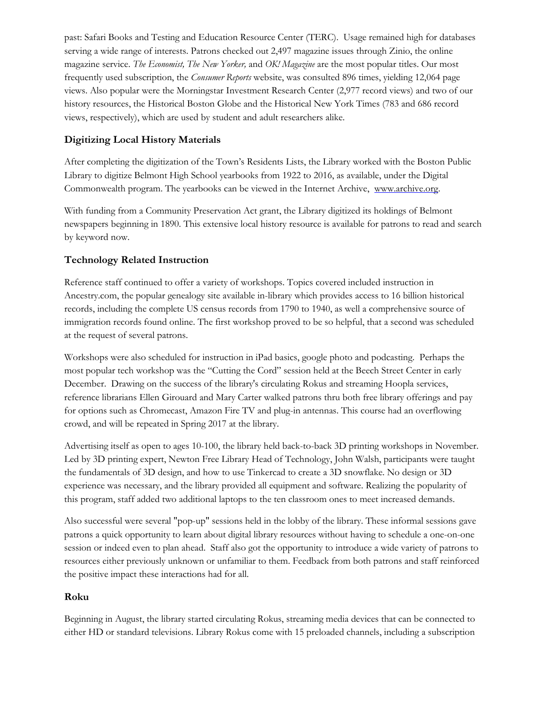past: Safari Books and Testing and Education Resource Center (TERC). Usage remained high for databases serving a wide range of interests. Patrons checked out 2,497 magazine issues through Zinio, the online magazine service. *The Economist, The New Yorker,* and *OK! Magazine* are the most popular titles. Our most frequently used subscription, the *Consumer Reports* website, was consulted 896 times, yielding 12,064 page views. Also popular were the Morningstar Investment Research Center (2,977 record views) and two of our history resources, the Historical Boston Globe and the Historical New York Times (783 and 686 record views, respectively), which are used by student and adult researchers alike.

## **Digitizing Local History Materials**

After completing the digitization of the Town's Residents Lists, the Library worked with the Boston Public Library to digitize Belmont High School yearbooks from 1922 to 2016, as available, under the Digital Commonwealth program. The yearbooks can be viewed in the Internet Archive, [www.archive.org.](http://www.archive.org/)

With funding from a Community Preservation Act grant, the Library digitized its holdings of Belmont newspapers beginning in 1890. This extensive local history resource is available for patrons to read and search by keyword now.

## **Technology Related Instruction**

Reference staff continued to offer a variety of workshops. Topics covered included instruction in Ancestry.com, the popular genealogy site available in-library which provides access to 16 billion historical records, including the complete US census records from 1790 to 1940, as well a comprehensive source of immigration records found online. The first workshop proved to be so helpful, that a second was scheduled at the request of several patrons.

Workshops were also scheduled for instruction in iPad basics, google photo and podcasting. Perhaps the most popular tech workshop was the "Cutting the Cord" session held at the Beech Street Center in early December. Drawing on the success of the library's circulating Rokus and streaming Hoopla services, reference librarians Ellen Girouard and Mary Carter walked patrons thru both free library offerings and pay for options such as Chromecast, Amazon Fire TV and plug-in antennas. This course had an overflowing crowd, and will be repeated in Spring 2017 at the library.

Advertising itself as open to ages 10-100, the library held back-to-back 3D printing workshops in November. Led by 3D printing expert, Newton Free Library Head of Technology, John Walsh, participants were taught the fundamentals of 3D design, and how to use Tinkercad to create a 3D snowflake. No design or 3D experience was necessary, and the library provided all equipment and software. Realizing the popularity of this program, staff added two additional laptops to the ten classroom ones to meet increased demands.

Also successful were several "pop-up" sessions held in the lobby of the library. These informal sessions gave patrons a quick opportunity to learn about digital library resources without having to schedule a one-on-one session or indeed even to plan ahead. Staff also got the opportunity to introduce a wide variety of patrons to resources either previously unknown or unfamiliar to them. Feedback from both patrons and staff reinforced the positive impact these interactions had for all.

## **Roku**

Beginning in August, the library started circulating Rokus, streaming media devices that can be connected to either HD or standard televisions. Library Rokus come with 15 preloaded channels, including a subscription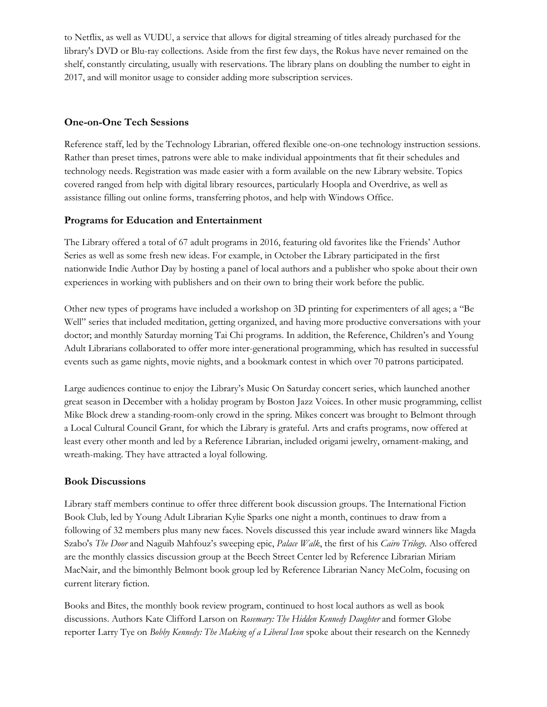to Netflix, as well as VUDU, a service that allows for digital streaming of titles already purchased for the library's DVD or Blu-ray collections. Aside from the first few days, the Rokus have never remained on the shelf, constantly circulating, usually with reservations. The library plans on doubling the number to eight in 2017, and will monitor usage to consider adding more subscription services.

#### **One-on-One Tech Sessions**

Reference staff, led by the Technology Librarian, offered flexible one-on-one technology instruction sessions. Rather than preset times, patrons were able to make individual appointments that fit their schedules and technology needs. Registration was made easier with a form available on the new Library website. Topics covered ranged from help with digital library resources, particularly Hoopla and Overdrive, as well as assistance filling out online forms, transferring photos, and help with Windows Office.

#### **Programs for Education and Entertainment**

The Library offered a total of 67 adult programs in 2016, featuring old favorites like the Friends' Author Series as well as some fresh new ideas. For example, in October the Library participated in the first nationwide Indie Author Day by hosting a panel of local authors and a publisher who spoke about their own experiences in working with publishers and on their own to bring their work before the public.

Other new types of programs have included a workshop on 3D printing for experimenters of all ages; a "Be Well" series that included meditation, getting organized, and having more productive conversations with your doctor; and monthly Saturday morning Tai Chi programs. In addition, the Reference, Children's and Young Adult Librarians collaborated to offer more inter-generational programming, which has resulted in successful events such as game nights, movie nights, and a bookmark contest in which over 70 patrons participated.

Large audiences continue to enjoy the Library's Music On Saturday concert series, which launched another great season in December with a holiday program by Boston Jazz Voices. In other music programming, cellist Mike Block drew a standing-room-only crowd in the spring. Mikes concert was brought to Belmont through a Local Cultural Council Grant, for which the Library is grateful. Arts and crafts programs, now offered at least every other month and led by a Reference Librarian, included origami jewelry, ornament-making, and wreath-making. They have attracted a loyal following.

#### **Book Discussions**

Library staff members continue to offer three different book discussion groups. The International Fiction Book Club, led by Young Adult Librarian Kylie Sparks one night a month, continues to draw from a following of 32 members plus many new faces. Novels discussed this year include award winners like Magda Szabo's *The Door* and Naguib Mahfouz's sweeping epic, *Palace Walk*, the first of his *Cairo Trilogy.* Also offered are the monthly classics discussion group at the Beech Street Center led by Reference Librarian Miriam MacNair, and the bimonthly Belmont book group led by Reference Librarian Nancy McColm, focusing on current literary fiction.

Books and Bites, the monthly book review program, continued to host local authors as well as book discussions. Authors Kate Clifford Larson on *Rosemary: The Hidden Kennedy Daughter* and former Globe reporter Larry Tye on *Bobby Kennedy: The Making of a Liberal Icon* spoke about their research on the Kennedy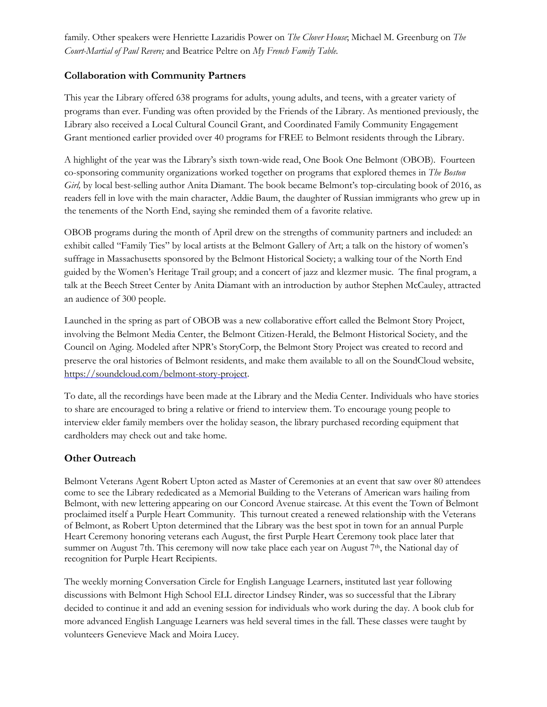family. Other speakers were Henriette Lazaridis Power on *The Clover House*; Michael M. Greenburg on *The Court-Martial of Paul Revere;* and Beatrice Peltre on *My French Family Table.*

## **Collaboration with Community Partners**

This year the Library offered 638 programs for adults, young adults, and teens, with a greater variety of programs than ever. Funding was often provided by the Friends of the Library. As mentioned previously, the Library also received a Local Cultural Council Grant, and Coordinated Family Community Engagement Grant mentioned earlier provided over 40 programs for FREE to Belmont residents through the Library.

A highlight of the year was the Library's sixth town-wide read, One Book One Belmont (OBOB). Fourteen co-sponsoring community organizations worked together on programs that explored themes in *The Boston Girl,* by local best-selling author Anita Diamant. The book became Belmont's top-circulating book of 2016, as readers fell in love with the main character, Addie Baum, the daughter of Russian immigrants who grew up in the tenements of the North End, saying she reminded them of a favorite relative.

OBOB programs during the month of April drew on the strengths of community partners and included: an exhibit called "Family Ties" by local artists at the Belmont Gallery of Art; a talk on the history of women's suffrage in Massachusetts sponsored by the Belmont Historical Society; a walking tour of the North End guided by the Women's Heritage Trail group; and a concert of jazz and klezmer music. The final program, a talk at the Beech Street Center by Anita Diamant with an introduction by author Stephen McCauley, attracted an audience of 300 people.

Launched in the spring as part of OBOB was a new collaborative effort called the Belmont Story Project, involving the Belmont Media Center, the Belmont Citizen-Herald, the Belmont Historical Society, and the Council on Aging. Modeled after NPR's StoryCorp, the Belmont Story Project was created to record and preserve the oral histories of Belmont residents, and make them available to all on the SoundCloud website, [https://soundcloud.com/belmont-story-project.](https://soundcloud.com/belmont-story-project)

To date, all the recordings have been made at the Library and the Media Center. Individuals who have stories to share are encouraged to bring a relative or friend to interview them. To encourage young people to interview elder family members over the holiday season, the library purchased recording equipment that cardholders may check out and take home.

## **Other Outreach**

Belmont Veterans Agent Robert Upton acted as Master of Ceremonies at an event that saw over 80 attendees come to see the Library rededicated as a Memorial Building to the Veterans of American wars hailing from Belmont, with new lettering appearing on our Concord Avenue staircase. At this event the Town of Belmont proclaimed itself a Purple Heart Community. This turnout created a renewed relationship with the Veterans of Belmont, as Robert Upton determined that the Library was the best spot in town for an annual Purple Heart Ceremony honoring veterans each August, the first Purple Heart Ceremony took place later that summer on August 7th. This ceremony will now take place each year on August 7<sup>th</sup>, the National day of recognition for Purple Heart Recipients.

The weekly morning Conversation Circle for English Language Learners, instituted last year following discussions with Belmont High School ELL director Lindsey Rinder, was so successful that the Library decided to continue it and add an evening session for individuals who work during the day. A book club for more advanced English Language Learners was held several times in the fall. These classes were taught by volunteers Genevieve Mack and Moira Lucey.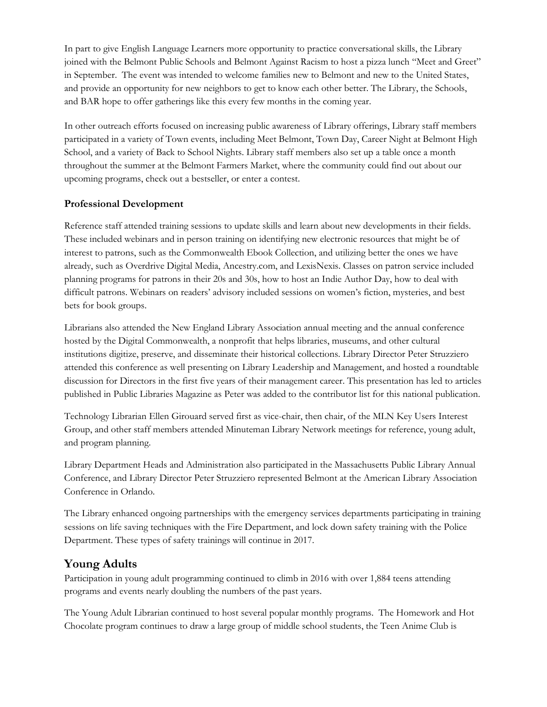In part to give English Language Learners more opportunity to practice conversational skills, the Library joined with the Belmont Public Schools and Belmont Against Racism to host a pizza lunch "Meet and Greet" in September. The event was intended to welcome families new to Belmont and new to the United States, and provide an opportunity for new neighbors to get to know each other better. The Library, the Schools, and BAR hope to offer gatherings like this every few months in the coming year.

In other outreach efforts focused on increasing public awareness of Library offerings, Library staff members participated in a variety of Town events, including Meet Belmont, Town Day, Career Night at Belmont High School, and a variety of Back to School Nights. Library staff members also set up a table once a month throughout the summer at the Belmont Farmers Market, where the community could find out about our upcoming programs, check out a bestseller, or enter a contest.

## **Professional Development**

Reference staff attended training sessions to update skills and learn about new developments in their fields. These included webinars and in person training on identifying new electronic resources that might be of interest to patrons, such as the Commonwealth Ebook Collection, and utilizing better the ones we have already, such as Overdrive Digital Media, Ancestry.com, and LexisNexis. Classes on patron service included planning programs for patrons in their 20s and 30s, how to host an Indie Author Day, how to deal with difficult patrons. Webinars on readers' advisory included sessions on women's fiction, mysteries, and best bets for book groups.

Librarians also attended the New England Library Association annual meeting and the annual conference hosted by the Digital Commonwealth, a nonprofit that helps libraries, museums, and other cultural institutions digitize, preserve, and disseminate their historical collections. Library Director Peter Struzziero attended this conference as well presenting on Library Leadership and Management, and hosted a roundtable discussion for Directors in the first five years of their management career. This presentation has led to articles published in Public Libraries Magazine as Peter was added to the contributor list for this national publication.

Technology Librarian Ellen Girouard served first as vice-chair, then chair, of the MLN Key Users Interest Group, and other staff members attended Minuteman Library Network meetings for reference, young adult, and program planning.

Library Department Heads and Administration also participated in the Massachusetts Public Library Annual Conference, and Library Director Peter Struzziero represented Belmont at the American Library Association Conference in Orlando.

The Library enhanced ongoing partnerships with the emergency services departments participating in training sessions on life saving techniques with the Fire Department, and lock down safety training with the Police Department. These types of safety trainings will continue in 2017.

# **Young Adults**

Participation in young adult programming continued to climb in 2016 with over 1,884 teens attending programs and events nearly doubling the numbers of the past years.

The Young Adult Librarian continued to host several popular monthly programs. The Homework and Hot Chocolate program continues to draw a large group of middle school students, the Teen Anime Club is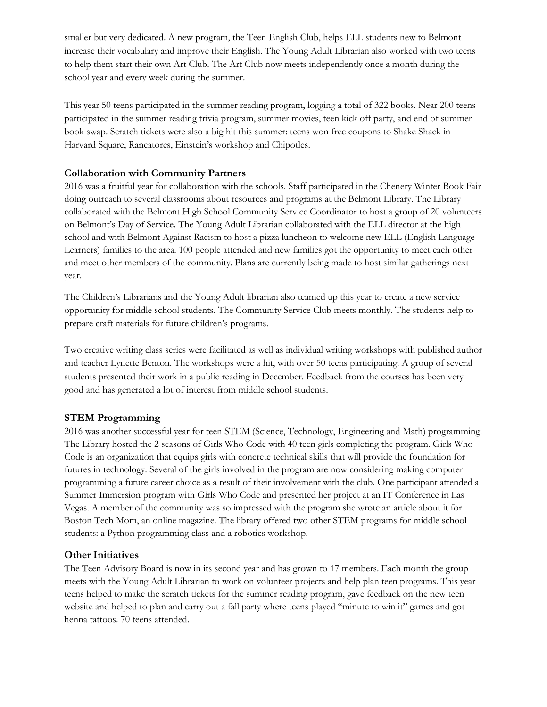smaller but very dedicated. A new program, the Teen English Club, helps ELL students new to Belmont increase their vocabulary and improve their English. The Young Adult Librarian also worked with two teens to help them start their own Art Club. The Art Club now meets independently once a month during the school year and every week during the summer.

This year 50 teens participated in the summer reading program, logging a total of 322 books. Near 200 teens participated in the summer reading trivia program, summer movies, teen kick off party, and end of summer book swap. Scratch tickets were also a big hit this summer: teens won free coupons to Shake Shack in Harvard Square, Rancatores, Einstein's workshop and Chipotles.

#### **Collaboration with Community Partners**

2016 was a fruitful year for collaboration with the schools. Staff participated in the Chenery Winter Book Fair doing outreach to several classrooms about resources and programs at the Belmont Library. The Library collaborated with the Belmont High School Community Service Coordinator to host a group of 20 volunteers on Belmont's Day of Service. The Young Adult Librarian collaborated with the ELL director at the high school and with Belmont Against Racism to host a pizza luncheon to welcome new ELL (English Language Learners) families to the area. 100 people attended and new families got the opportunity to meet each other and meet other members of the community. Plans are currently being made to host similar gatherings next year.

The Children's Librarians and the Young Adult librarian also teamed up this year to create a new service opportunity for middle school students. The Community Service Club meets monthly. The students help to prepare craft materials for future children's programs.

Two creative writing class series were facilitated as well as individual writing workshops with published author and teacher Lynette Benton. The workshops were a hit, with over 50 teens participating. A group of several students presented their work in a public reading in December. Feedback from the courses has been very good and has generated a lot of interest from middle school students.

#### **STEM Programming**

2016 was another successful year for teen STEM (Science, Technology, Engineering and Math) programming. The Library hosted the 2 seasons of Girls Who Code with 40 teen girls completing the program. Girls Who Code is an organization that equips girls with concrete technical skills that will provide the foundation for futures in technology. Several of the girls involved in the program are now considering making computer programming a future career choice as a result of their involvement with the club. One participant attended a Summer Immersion program with Girls Who Code and presented her project at an IT Conference in Las Vegas. A member of the community was so impressed with the program she wrote an article about it for Boston Tech Mom, an online magazine. The library offered two other STEM programs for middle school students: a Python programming class and a robotics workshop.

#### **Other Initiatives**

The Teen Advisory Board is now in its second year and has grown to 17 members. Each month the group meets with the Young Adult Librarian to work on volunteer projects and help plan teen programs. This year teens helped to make the scratch tickets for the summer reading program, gave feedback on the new teen website and helped to plan and carry out a fall party where teens played "minute to win it" games and got henna tattoos. 70 teens attended.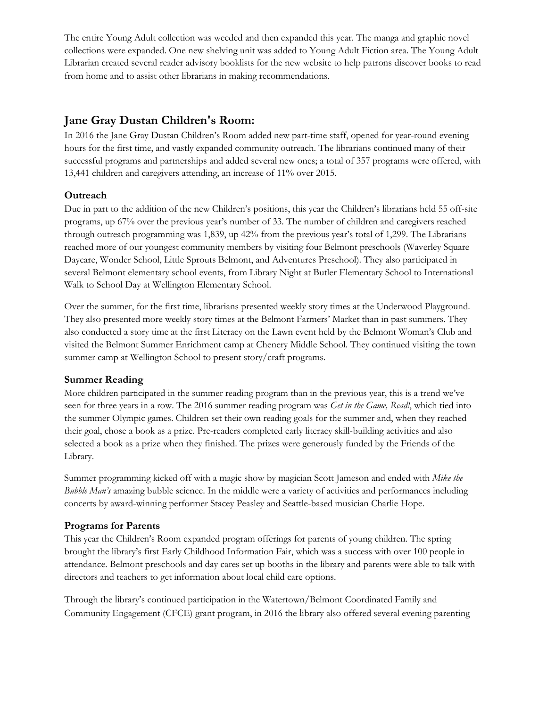The entire Young Adult collection was weeded and then expanded this year. The manga and graphic novel collections were expanded. One new shelving unit was added to Young Adult Fiction area. The Young Adult Librarian created several reader advisory booklists for the new website to help patrons discover books to read from home and to assist other librarians in making recommendations.

# **Jane Gray Dustan Children's Room:**

In 2016 the Jane Gray Dustan Children's Room added new part-time staff, opened for year-round evening hours for the first time, and vastly expanded community outreach. The librarians continued many of their successful programs and partnerships and added several new ones; a total of 357 programs were offered, with 13,441 children and caregivers attending, an increase of 11% over 2015.

#### **Outreach**

Due in part to the addition of the new Children's positions, this year the Children's librarians held 55 off-site programs, up 67% over the previous year's number of 33. The number of children and caregivers reached through outreach programming was 1,839, up 42% from the previous year's total of 1,299. The Librarians reached more of our youngest community members by visiting four Belmont preschools (Waverley Square Daycare, Wonder School, Little Sprouts Belmont, and Adventures Preschool). They also participated in several Belmont elementary school events, from Library Night at Butler Elementary School to International Walk to School Day at Wellington Elementary School.

Over the summer, for the first time, librarians presented weekly story times at the Underwood Playground. They also presented more weekly story times at the Belmont Farmers' Market than in past summers. They also conducted a story time at the first Literacy on the Lawn event held by the Belmont Woman's Club and visited the Belmont Summer Enrichment camp at Chenery Middle School. They continued visiting the town summer camp at Wellington School to present story/craft programs.

#### **Summer Reading**

More children participated in the summer reading program than in the previous year, this is a trend we've seen for three years in a row. The 2016 summer reading program was *Get in the Game, Read!*, which tied into the summer Olympic games. Children set their own reading goals for the summer and, when they reached their goal, chose a book as a prize. Pre-readers completed early literacy skill-building activities and also selected a book as a prize when they finished. The prizes were generously funded by the Friends of the Library.

Summer programming kicked off with a magic show by magician Scott Jameson and ended with *Mike the Bubble Man's* amazing bubble science. In the middle were a variety of activities and performances including concerts by award-winning performer Stacey Peasley and Seattle-based musician Charlie Hope.

## **Programs for Parents**

This year the Children's Room expanded program offerings for parents of young children. The spring brought the library's first Early Childhood Information Fair, which was a success with over 100 people in attendance. Belmont preschools and day cares set up booths in the library and parents were able to talk with directors and teachers to get information about local child care options.

Through the library's continued participation in the Watertown/Belmont Coordinated Family and Community Engagement (CFCE) grant program, in 2016 the library also offered several evening parenting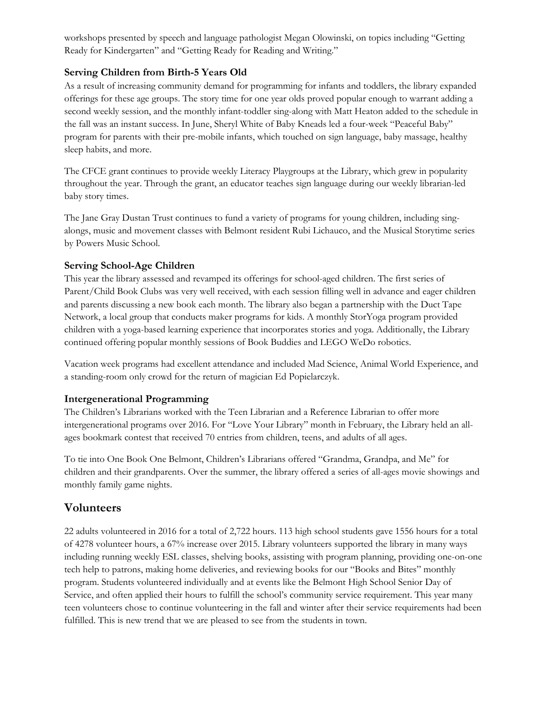workshops presented by speech and language pathologist Megan Olowinski, on topics including "Getting Ready for Kindergarten" and "Getting Ready for Reading and Writing."

## **Serving Children from Birth-5 Years Old**

As a result of increasing community demand for programming for infants and toddlers, the library expanded offerings for these age groups. The story time for one year olds proved popular enough to warrant adding a second weekly session, and the monthly infant-toddler sing-along with Matt Heaton added to the schedule in the fall was an instant success. In June, Sheryl White of Baby Kneads led a four-week "Peaceful Baby" program for parents with their pre-mobile infants, which touched on sign language, baby massage, healthy sleep habits, and more.

The CFCE grant continues to provide weekly Literacy Playgroups at the Library, which grew in popularity throughout the year. Through the grant, an educator teaches sign language during our weekly librarian-led baby story times.

The Jane Gray Dustan Trust continues to fund a variety of programs for young children, including singalongs, music and movement classes with Belmont resident Rubi Lichauco, and the Musical Storytime series by Powers Music School.

## **Serving School-Age Children**

This year the library assessed and revamped its offerings for school-aged children. The first series of Parent/Child Book Clubs was very well received, with each session filling well in advance and eager children and parents discussing a new book each month. The library also began a partnership with the Duct Tape Network, a local group that conducts maker programs for kids. A monthly StorYoga program provided children with a yoga-based learning experience that incorporates stories and yoga. Additionally, the Library continued offering popular monthly sessions of Book Buddies and LEGO WeDo robotics.

Vacation week programs had excellent attendance and included Mad Science, Animal World Experience, and a standing-room only crowd for the return of magician Ed Popielarczyk.

## **Intergenerational Programming**

The Children's Librarians worked with the Teen Librarian and a Reference Librarian to offer more intergenerational programs over 2016. For "Love Your Library" month in February, the Library held an allages bookmark contest that received 70 entries from children, teens, and adults of all ages.

To tie into One Book One Belmont, Children's Librarians offered "Grandma, Grandpa, and Me" for children and their grandparents. Over the summer, the library offered a series of all-ages movie showings and monthly family game nights.

# **Volunteers**

22 adults volunteered in 2016 for a total of 2,722 hours. 113 high school students gave 1556 hours for a total of 4278 volunteer hours, a 67% increase over 2015. Library volunteers supported the library in many ways including running weekly ESL classes, shelving books, assisting with program planning, providing one-on-one tech help to patrons, making home deliveries, and reviewing books for our "Books and Bites" monthly program. Students volunteered individually and at events like the Belmont High School Senior Day of Service, and often applied their hours to fulfill the school's community service requirement. This year many teen volunteers chose to continue volunteering in the fall and winter after their service requirements had been fulfilled. This is new trend that we are pleased to see from the students in town.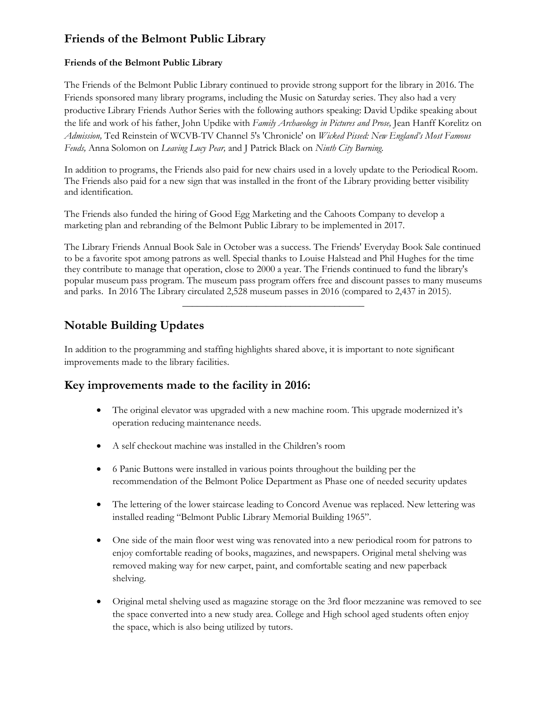# **Friends of the Belmont Public Library**

#### **Friends of the Belmont Public Library**

The Friends of the Belmont Public Library continued to provide strong support for the library in 2016. The Friends sponsored many library programs, including the Music on Saturday series. They also had a very productive Library Friends Author Series with the following authors speaking: David Updike speaking about the life and work of his father, John Updike with *Family Archaeology in Pictures and Prose,* Jean Hanff Korelitz on *Admission,* Ted Reinstein of WCVB-TV Channel 5's 'Chronicle' on *Wicked Pissed: New England's Most Famous Feuds,* Anna Solomon on *Leaving Lucy Pear,* and J Patrick Black on *Ninth City Burning.*

In addition to programs, the Friends also paid for new chairs used in a lovely update to the Periodical Room. The Friends also paid for a new sign that was installed in the front of the Library providing better visibility and identification.

The Friends also funded the hiring of Good Egg Marketing and the Cahoots Company to develop a marketing plan and rebranding of the Belmont Public Library to be implemented in 2017.

The Library Friends Annual Book Sale in October was a success. The Friends' Everyday Book Sale continued to be a favorite spot among patrons as well. Special thanks to Louise Halstead and Phil Hughes for the time they contribute to manage that operation, close to 2000 a year. The Friends continued to fund the library's popular museum pass program. The museum pass program offers free and discount passes to many museums and parks. In 2016 The Library circulated 2,528 museum passes in 2016 (compared to 2,437 in 2015).

\_\_\_\_\_\_\_\_\_\_\_\_\_\_\_\_\_\_\_\_\_\_\_\_\_\_\_\_\_\_\_\_\_\_\_\_\_

# **Notable Building Updates**

In addition to the programming and staffing highlights shared above, it is important to note significant improvements made to the library facilities.

# **Key improvements made to the facility in 2016:**

- The original elevator was upgraded with a new machine room. This upgrade modernized it's operation reducing maintenance needs.
- A self checkout machine was installed in the Children's room
- 6 Panic Buttons were installed in various points throughout the building per the recommendation of the Belmont Police Department as Phase one of needed security updates
- The lettering of the lower staircase leading to Concord Avenue was replaced. New lettering was installed reading "Belmont Public Library Memorial Building 1965".
- One side of the main floor west wing was renovated into a new periodical room for patrons to enjoy comfortable reading of books, magazines, and newspapers. Original metal shelving was removed making way for new carpet, paint, and comfortable seating and new paperback shelving.
- Original metal shelving used as magazine storage on the 3rd floor mezzanine was removed to see the space converted into a new study area. College and High school aged students often enjoy the space, which is also being utilized by tutors.